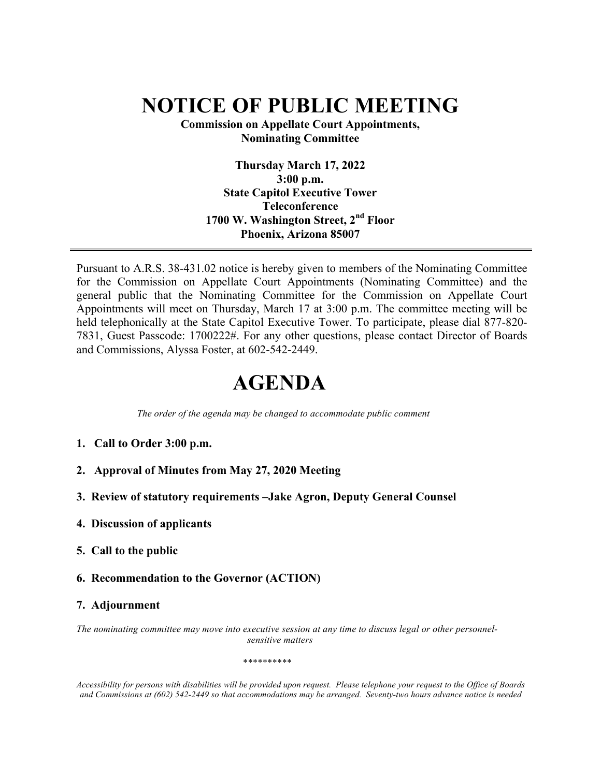## **NOTICE OF PUBLIC MEETING**

**Commission on Appellate Court Appointments, Nominating Committee**

> **Thursday March 17, 2022 3:00 p.m. State Capitol Executive Tower Teleconference 1700 W. Washington Street, 2nd Floor Phoenix, Arizona 85007**

Pursuant to A.R.S. 38-431.02 notice is hereby given to members of the Nominating Committee for the Commission on Appellate Court Appointments (Nominating Committee) and the general public that the Nominating Committee for the Commission on Appellate Court Appointments will meet on Thursday, March 17 at 3:00 p.m. The committee meeting will be held telephonically at the State Capitol Executive Tower. To participate, please dial 877-820-7831, Guest Passcode: 1700222#. For any other questions, please contact Director of Boards and Commissions, Alyssa Foster, at 602-542-2449.

## **AGENDA**

 *The order of the agenda may be changed to accommodate public comment*

- **1. Call to Order 3:00 p.m.**
- **2. Approval of Minutes from May 27, 2020 Meeting**
- **3. Review of statutory requirements –Jake Agron, Deputy General Counsel**
- **4. Discussion of applicants**
- **5. Call to the public**
- **6. Recommendation to the Governor (ACTION)**

## **7. Adjournment**

*The nominating committee may move into executive session at any time to discuss legal or other personnelsensitive matters*

*\*\*\*\*\*\*\*\*\*\**

Accessibility for persons with disabilities will be provided upon request. Please telephone your request to the Office of Boards *and Commissions at (602) 542-2449 so that accommodations may be arranged. Seventy-two hours advance notice is needed*